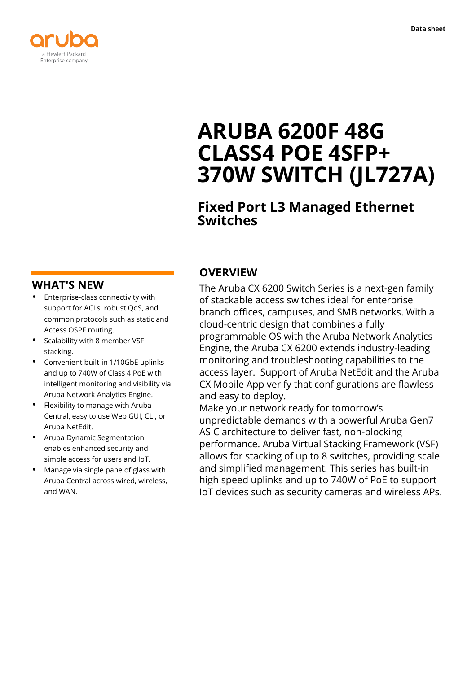

# **ARUBA 6200F 48G CLASS4 POE 4SFP+ 370W SWITCH (JL727A)**

## **Fixed Port L3 Managed Ethernet Switches**

## **WHAT'S NEW**

- **·** Enterprise-class connectivity with support for ACLs, robust QoS, and common protocols such as static and Access OSPF routing.
- **·** Scalability with 8 member VSF stacking.
- **·** Convenient built-in 1/10GbE uplinks and up to 740W of Class 4 PoE with intelligent monitoring and visibility via Aruba Network Analytics Engine.
- **·** Flexibility to manage with Aruba Central, easy to use Web GUI, CLI, or Aruba NetEdit.
- **·** Aruba Dynamic Segmentation enables enhanced security and simple access for users and IoT.
- **·** Manage via single pane of glass with Aruba Central across wired, wireless, and WAN.

## **OVERVIEW**

The Aruba CX 6200 Switch Series is a next-gen family of stackable access switches ideal for enterprise branch offices, campuses, and SMB networks. With a cloud-centric design that combines a fully programmable OS with the Aruba Network Analytics Engine, the Aruba CX 6200 extends industry-leading monitoring and troubleshooting capabilities to the access layer. Support of Aruba NetEdit and the Aruba CX Mobile App verify that configurations are flawless and easy to deploy.

Make your network ready for tomorrow's unpredictable demands with a powerful Aruba Gen7 ASIC architecture to deliver fast, non-blocking performance. Aruba Virtual Stacking Framework (VSF) allows for stacking of up to 8 switches, providing scale and simplified management. This series has built-in high speed uplinks and up to 740W of PoE to support IoT devices such as security cameras and wireless APs.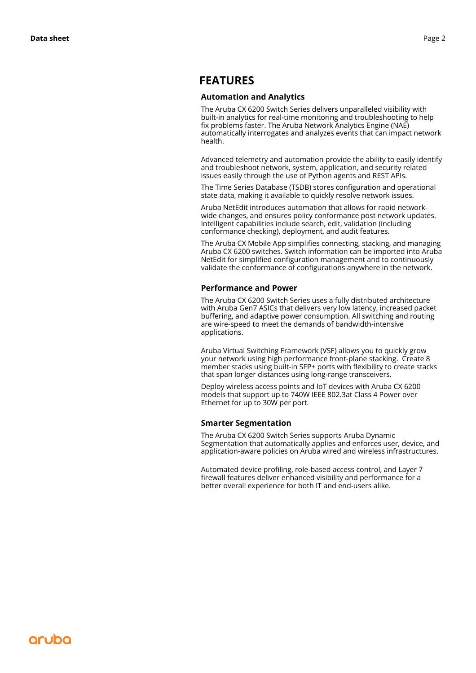#### **FEATURES**

#### **Automation and Analytics**

The Aruba CX 6200 Switch Series delivers unparalleled visibility with built-in analytics for real-time monitoring and troubleshooting to help fix problems faster. The Aruba Network Analytics Engine (NAE) automatically interrogates and analyzes events that can impact network health.

Advanced telemetry and automation provide the ability to easily identify and troubleshoot network, system, application, and security related issues easily through the use of Python agents and REST APIs.

The Time Series Database (TSDB) stores configuration and operational state data, making it available to quickly resolve network issues.

Aruba NetEdit introduces automation that allows for rapid networkwide changes, and ensures policy conformance post network updates. Intelligent capabilities include search, edit, validation (including conformance checking), deployment, and audit features.

The Aruba CX Mobile App simplifies connecting, stacking, and managing Aruba CX 6200 switches. Switch information can be imported into Aruba NetEdit for simplified configuration management and to continuously validate the conformance of configurations anywhere in the network.

#### **Performance and Power**

The Aruba CX 6200 Switch Series uses a fully distributed architecture with Aruba Gen7 ASICs that delivers very low latency, increased packet buffering, and adaptive power consumption. All switching and routing are wire-speed to meet the demands of bandwidth-intensive applications.

Aruba Virtual Switching Framework (VSF) allows you to quickly grow your network using high performance front-plane stacking. Create 8 member stacks using built-in SFP+ ports with flexibility to create stacks that span longer distances using long-range transceivers.

Deploy wireless access points and IoT devices with Aruba CX 6200 models that support up to 740W IEEE 802.3at Class 4 Power over Ethernet for up to 30W per port.

#### **Smarter Segmentation**

The Aruba CX 6200 Switch Series supports Aruba Dynamic Segmentation that automatically applies and enforces user, device, and application-aware policies on Aruba wired and wireless infrastructures.

Automated device profiling, role-based access control, and Layer 7 firewall features deliver enhanced visibility and performance for a better overall experience for both IT and end-users alike.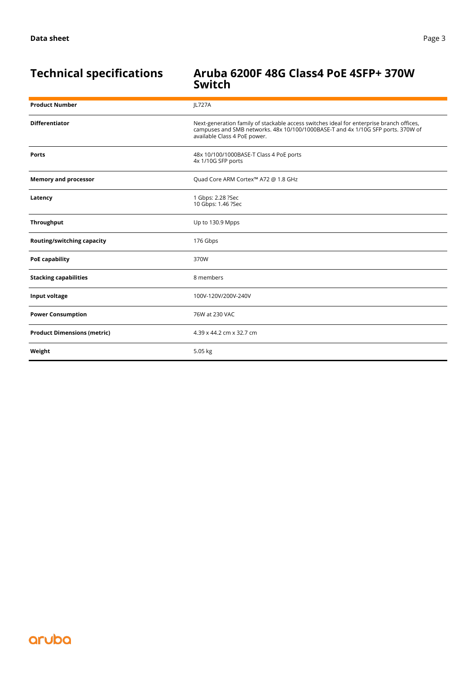#### **Technical specifications Aruba 6200F 48G Class4 PoE 4SFP+ 370W Switch**

| <b>Product Number</b>              | JL727A                                                                                                                                                                                                       |
|------------------------------------|--------------------------------------------------------------------------------------------------------------------------------------------------------------------------------------------------------------|
| <b>Differentiator</b>              | Next-generation family of stackable access switches ideal for enterprise branch offices,<br>campuses and SMB networks. 48x 10/100/1000BASE-T and 4x 1/10G SFP ports. 370W of<br>available Class 4 PoE power. |
| <b>Ports</b>                       | 48x 10/100/1000BASE-T Class 4 PoE ports<br>4x 1/10G SFP ports                                                                                                                                                |
| <b>Memory and processor</b>        | Quad Core ARM Cortex™ A72 @ 1.8 GHz                                                                                                                                                                          |
| Latency                            | 1 Gbps: 2.28 ?Sec<br>10 Gbps: 1.46 ?Sec                                                                                                                                                                      |
| Throughput                         | Up to 130.9 Mpps                                                                                                                                                                                             |
| Routing/switching capacity         | 176 Gbps                                                                                                                                                                                                     |
| <b>PoE capability</b>              | 370W                                                                                                                                                                                                         |
| <b>Stacking capabilities</b>       | 8 members                                                                                                                                                                                                    |
| Input voltage                      | 100V-120V/200V-240V                                                                                                                                                                                          |
| <b>Power Consumption</b>           | 76W at 230 VAC                                                                                                                                                                                               |
| <b>Product Dimensions (metric)</b> | 4.39 x 44.2 cm x 32.7 cm                                                                                                                                                                                     |
| Weight                             | 5.05 kg                                                                                                                                                                                                      |